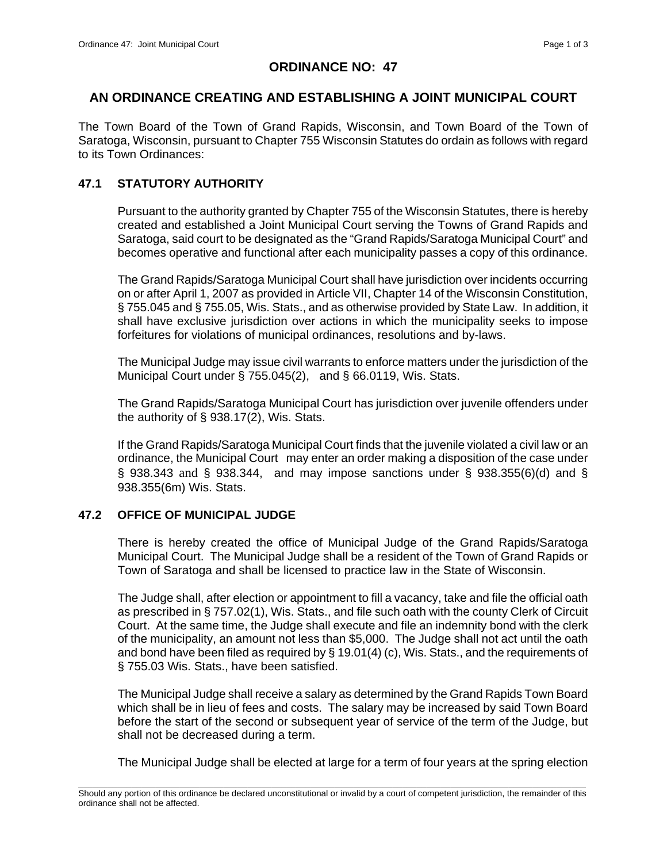# **ORDINANCE NO: 47**

# **AN ORDINANCE CREATING AND ESTABLISHING A JOINT MUNICIPAL COURT**

The Town Board of the Town of Grand Rapids, Wisconsin, and Town Board of the Town of Saratoga, Wisconsin, pursuant to Chapter 755 Wisconsin Statutes do ordain as follows with regard to its Town Ordinances:

# **47.1 STATUTORY AUTHORITY**

 Pursuant to the authority granted by Chapter 755 of the Wisconsin Statutes, there is hereby created and established a Joint Municipal Court serving the Towns of Grand Rapids and Saratoga, said court to be designated as the "Grand Rapids/Saratoga Municipal Court" and becomes operative and functional after each municipality passes a copy of this ordinance.

 The Grand Rapids/Saratoga Municipal Court shall have jurisdiction over incidents occurring on or after April 1, 2007 as provided in Article VII, Chapter 14 of the Wisconsin Constitution, § 755.045 and § 755.05, Wis. Stats., and as otherwise provided by State Law. In addition, it shall have exclusive jurisdiction over actions in which the municipality seeks to impose forfeitures for violations of municipal ordinances, resolutions and by-laws.

 The Municipal Judge may issue civil warrants to enforce matters under the jurisdiction of the Municipal Court under § 755.045(2), and § 66.0119, Wis. Stats.

 The Grand Rapids/Saratoga Municipal Court has jurisdiction over juvenile offenders under the authority of § 938.17(2), Wis. Stats.

If the Grand Rapids/Saratoga Municipal Court finds that the juvenile violated a civil law or an ordinance, the Municipal Court may enter an order making a disposition of the case under § 938.343 and § 938.344, and may impose sanctions under § 938.355(6)(d) and § 938.355(6m) Wis. Stats.

# **47.2 OFFICE OF MUNICIPAL JUDGE**

 There is hereby created the office of Municipal Judge of the Grand Rapids/Saratoga Municipal Court. The Municipal Judge shall be a resident of the Town of Grand Rapids or Town of Saratoga and shall be licensed to practice law in the State of Wisconsin.

 The Judge shall, after election or appointment to fill a vacancy, take and file the official oath as prescribed in § 757.02(1), Wis. Stats., and file such oath with the county Clerk of Circuit Court. At the same time, the Judge shall execute and file an indemnity bond with the clerk of the municipality, an amount not less than \$5,000. The Judge shall not act until the oath and bond have been filed as required by § 19.01(4) (c), Wis. Stats., and the requirements of § 755.03 Wis. Stats., have been satisfied.

 The Municipal Judge shall receive a salary as determined by the Grand Rapids Town Board which shall be in lieu of fees and costs. The salary may be increased by said Town Board before the start of the second or subsequent year of service of the term of the Judge, but shall not be decreased during a term.

The Municipal Judge shall be elected at large for a term of four years at the spring election

\_\_\_\_\_\_\_\_\_\_\_\_\_\_\_\_\_\_\_\_\_\_\_\_\_\_\_\_\_\_\_\_\_\_\_\_\_\_\_\_\_\_\_\_\_\_\_\_\_\_\_\_\_\_\_\_\_\_\_\_\_\_\_\_\_\_\_\_\_\_\_\_\_\_\_\_\_\_\_\_\_\_\_\_\_\_\_\_\_\_\_\_\_\_\_\_\_\_\_\_\_\_\_\_\_ Should any portion of this ordinance be declared unconstitutional or invalid by a court of competent jurisdiction, the remainder of this ordinance shall not be affected.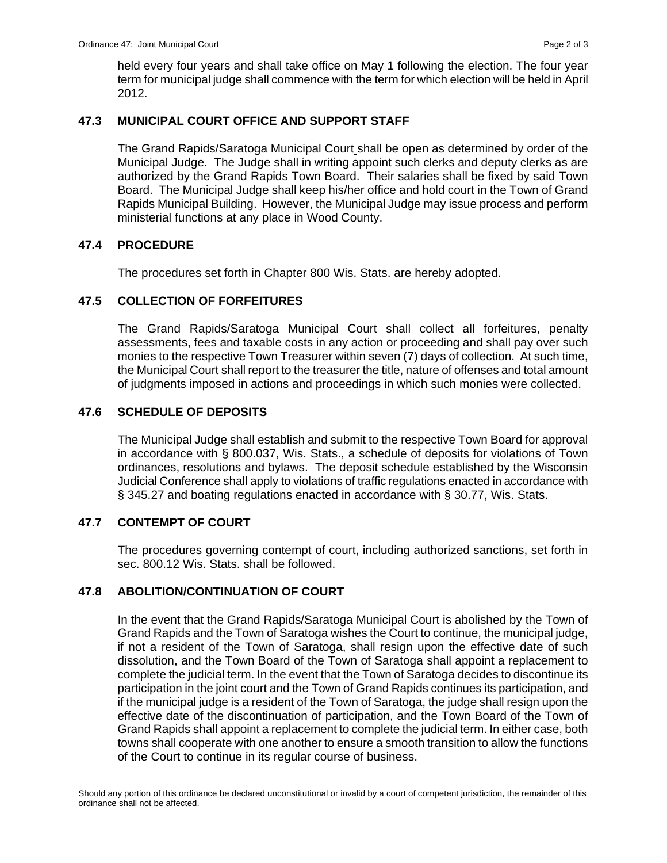held every four years and shall take office on May 1 following the election. The four year term for municipal judge shall commence with the term for which election will be held in April 2012.

# **47.3 MUNICIPAL COURT OFFICE AND SUPPORT STAFF**

 The Grand Rapids/Saratoga Municipal Court shall be open as determined by order of the Municipal Judge. The Judge shall in writing appoint such clerks and deputy clerks as are authorized by the Grand Rapids Town Board. Their salaries shall be fixed by said Town Board. The Municipal Judge shall keep his/her office and hold court in the Town of Grand Rapids Municipal Building. However, the Municipal Judge may issue process and perform ministerial functions at any place in Wood County.

### **47.4 PROCEDURE**

The procedures set forth in Chapter 800 Wis. Stats. are hereby adopted.

### **47.5 COLLECTION OF FORFEITURES**

 The Grand Rapids/Saratoga Municipal Court shall collect all forfeitures, penalty assessments, fees and taxable costs in any action or proceeding and shall pay over such monies to the respective Town Treasurer within seven (7) days of collection. At such time, the Municipal Court shall report to the treasurer the title, nature of offenses and total amount of judgments imposed in actions and proceedings in which such monies were collected.

### **47.6 SCHEDULE OF DEPOSITS**

 The Municipal Judge shall establish and submit to the respective Town Board for approval in accordance with § 800.037, Wis. Stats., a schedule of deposits for violations of Town ordinances, resolutions and bylaws. The deposit schedule established by the Wisconsin Judicial Conference shall apply to violations of traffic regulations enacted in accordance with § 345.27 and boating regulations enacted in accordance with § 30.77, Wis. Stats.

### **47.7 CONTEMPT OF COURT**

 The procedures governing contempt of court, including authorized sanctions, set forth in sec. 800.12 Wis. Stats. shall be followed.

#### **47.8 ABOLITION/CONTINUATION OF COURT**

In the event that the Grand Rapids/Saratoga Municipal Court is abolished by the Town of Grand Rapids and the Town of Saratoga wishes the Court to continue, the municipal judge, if not a resident of the Town of Saratoga, shall resign upon the effective date of such dissolution, and the Town Board of the Town of Saratoga shall appoint a replacement to complete the judicial term. In the event that the Town of Saratoga decides to discontinue its participation in the joint court and the Town of Grand Rapids continues its participation, and if the municipal judge is a resident of the Town of Saratoga, the judge shall resign upon the effective date of the discontinuation of participation, and the Town Board of the Town of Grand Rapids shall appoint a replacement to complete the judicial term. In either case, both towns shall cooperate with one another to ensure a smooth transition to allow the functions of the Court to continue in its regular course of business.

\_\_\_\_\_\_\_\_\_\_\_\_\_\_\_\_\_\_\_\_\_\_\_\_\_\_\_\_\_\_\_\_\_\_\_\_\_\_\_\_\_\_\_\_\_\_\_\_\_\_\_\_\_\_\_\_\_\_\_\_\_\_\_\_\_\_\_\_\_\_\_\_\_\_\_\_\_\_\_\_\_\_\_\_\_\_\_\_\_\_\_\_\_\_\_\_\_\_\_\_\_\_\_\_\_ Should any portion of this ordinance be declared unconstitutional or invalid by a court of competent jurisdiction, the remainder of this ordinance shall not be affected.